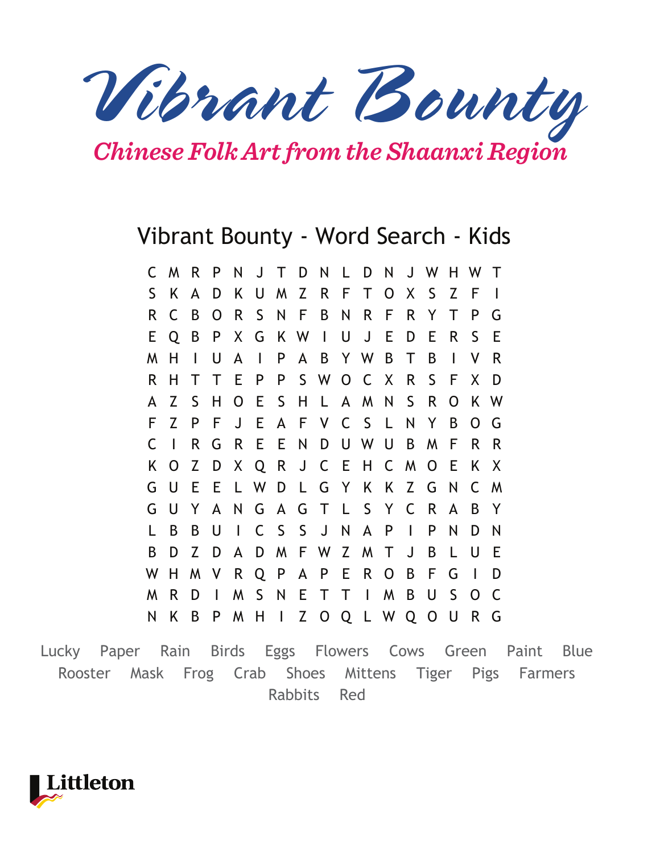*Vibrant Bounty*

*Chinese Folk Art from the Shaanxi Region*

## Vibrant Bounty - Word Search - Kids

|   | C M R |              | $\mathsf{P}$ |              |         |              |     | N J T D N L D N       |         |                |              | J W H W T      |    |              |     |
|---|-------|--------------|--------------|--------------|---------|--------------|-----|-----------------------|---------|----------------|--------------|----------------|----|--------------|-----|
| S | K.    | A            | D            |              | K U     |              |     | M Z R F T             |         | $\overline{O}$ |              | X S            | Z  | F            |     |
| R | C     | B            | O            | $\mathsf{R}$ | S.      |              | N F |                       | BNRF    |                | $\mathsf{R}$ | Y              | Τ  | P            | G   |
| E | Q     | B            | P            |              | X G     | K W I        |     |                       | UJE     |                | D            | E              | R. | S            | E   |
| M | Н     | $\mathsf{l}$ | U            | $\mathsf{A}$ | $\perp$ | P            |     | A B Y W B             |         |                | T            | B              | T  | ۷            | R   |
| R | н     | T            | T            | E P          |         | P.           |     | SWOCX                 |         |                | $\mathsf{R}$ | S              | F  | X            | D   |
| A | Z     | S            | Н            |              | O E S   |              | H.  |                       | L A M N |                | $\mathsf{S}$ | R              | 0  |              | K W |
| F | Z     | P            | F            | J            |         |              |     | E A F V C S L         |         |                |              | N Y            | B  | O            | G   |
| С | H     | R            | G            | $\mathsf{R}$ |         |              |     | E E N D U W U         |         |                | B            | M              | F  | R            | R   |
| Κ | O     | Z            | D            |              |         |              |     | X Q R J C E H         |         | $\mathsf{C}$   | M            | $\overline{O}$ | E. | Κ            | X   |
| G | U     | E            |              |              |         |              |     | E L W D L G Y K K Z G |         |                |              |                | N  |              | C M |
| G | U     | Y            | $\mathsf{A}$ | N            |         |              |     | G A G T L S Y         |         |                | C            | R              | A  | B            | Y   |
| L | B     | B            | U            | $\mathbf{I}$ |         |              |     | CSSJN                 |         | A P            | $\mathbf{I}$ | P              | N  | D            | N   |
| B | D     | Z            | D            | $\mathsf{A}$ | D       | M            |     | F W Z M T             |         |                | $\mathsf{J}$ | B              | L  | U            | E   |
| W | H     | M            | $\mathsf{V}$ |              |         |              |     | R Q P A P E R         |         | $\mathsf{O}$   | B            | F              | G  | $\mathbf{I}$ | D   |
| M | R     | D            | $\mathbf{I}$ |              | M S N   |              |     | ETTI                  |         | M              | B            | U              | S. | $\mathsf{O}$ | C   |
| N | K     | B            | P            | M            | H       | $\mathbf{L}$ |     | Z O Q L W Q O         |         |                |              |                | U  | R            | G   |
|   |       |              |              |              |         |              |     |                       |         |                |              |                |    |              |     |

Lucky Paper Rain Birds Eggs Flowers Cows Green Paint Blue Rooster Mask Frog Crab Shoes Mittens Tiger Pigs Farmers Rabbits Red